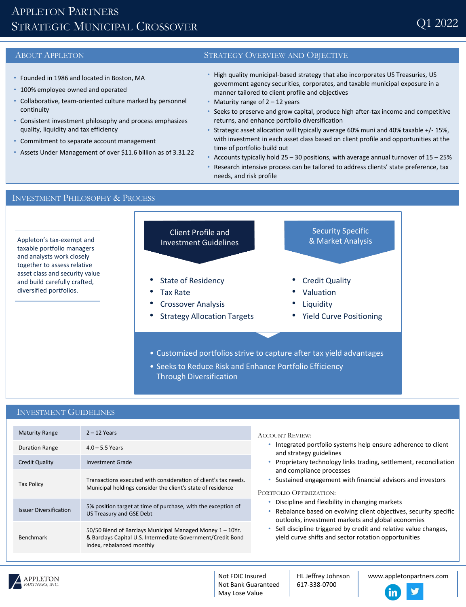# APPLETON PARTNERS STRATEGIC MUNICIPAL CROSSOVER

- Founded in 1986 and located in Boston, MA
- 100% employee owned and operated
- Collaborative, team-oriented culture marked by personnel continuity
- Consistent investment philosophy and process emphasizes quality, liquidity and tax efficiency
- Commitment to separate account management
- Assets Under Management of over \$11.6 billion as of 3.31.22

### ABOUT APPLETON STRATEGY OVERVIEW AND OBJECTIVE

- High quality municipal-based strategy that also incorporates US Treasuries, US government agency securities, corporates, and taxable municipal exposure in a manner tailored to client profile and objectives
- Maturity range of  $2 12$  years
- Seeks to preserve and grow capital, produce high after-tax income and competitive returns, and enhance portfolio diversification
- Strategic asset allocation will typically average 60% muni and 40% taxable +/- 15%, with investment in each asset class based on client profile and opportunities at the time of portfolio build out
- Accounts typically hold  $25 30$  positions, with average annual turnover of  $15 25%$
- Research intensive process can be tailored to address clients' state preference, tax needs, and risk profile

## INVESTMENT PHILOSOPHY & PROCESS



• Seeks to Reduce Risk and Enhance Portfolio Efficiency Through Diversification

## INVESTMENT GUIDELINES

| <b>Maturity Range</b>         | $2 - 12$ Years                                                                                                                                        | <b>ACCOUNT REVIEW:</b><br>Integrated portfolio systems help ensure adherence to client<br>and strategy guidelines<br>Proprietary technology links trading, settlement, reconciliation<br>and compliance processes<br>Sustained engagement with financial advisors and investors<br>PORTFOLIO OPTIMIZATION:<br>Discipline and flexibility in changing markets<br>Rebalance based on evolving client objectives, security specific<br>outlooks, investment markets and global economies<br>Sell discipline triggered by credit and relative value changes,<br>vield curve shifts and sector rotation opportunities |
|-------------------------------|-------------------------------------------------------------------------------------------------------------------------------------------------------|------------------------------------------------------------------------------------------------------------------------------------------------------------------------------------------------------------------------------------------------------------------------------------------------------------------------------------------------------------------------------------------------------------------------------------------------------------------------------------------------------------------------------------------------------------------------------------------------------------------|
| <b>Duration Range</b>         | $4.0 - 5.5$ Years                                                                                                                                     |                                                                                                                                                                                                                                                                                                                                                                                                                                                                                                                                                                                                                  |
| <b>Credit Quality</b>         | <b>Investment Grade</b>                                                                                                                               |                                                                                                                                                                                                                                                                                                                                                                                                                                                                                                                                                                                                                  |
| <b>Tax Policy</b>             | Transactions executed with consideration of client's tax needs.<br>Municipal holdings consider the client's state of residence                        |                                                                                                                                                                                                                                                                                                                                                                                                                                                                                                                                                                                                                  |
| <b>Issuer Diversification</b> | 5% position target at time of purchase, with the exception of<br>US Treasury and GSE Debt                                                             |                                                                                                                                                                                                                                                                                                                                                                                                                                                                                                                                                                                                                  |
| <b>Benchmark</b>              | 50/50 Blend of Barclays Municipal Managed Money 1 - 10Yr.<br>& Barclays Capital U.S. Intermediate Government/Credit Bond<br>Index, rebalanced monthly |                                                                                                                                                                                                                                                                                                                                                                                                                                                                                                                                                                                                                  |



Not FDIC Insured Not Bank Guaranteed May Lose Value

HL Jeffrey Johnson 617-338-0700

www.appletonpartners.com